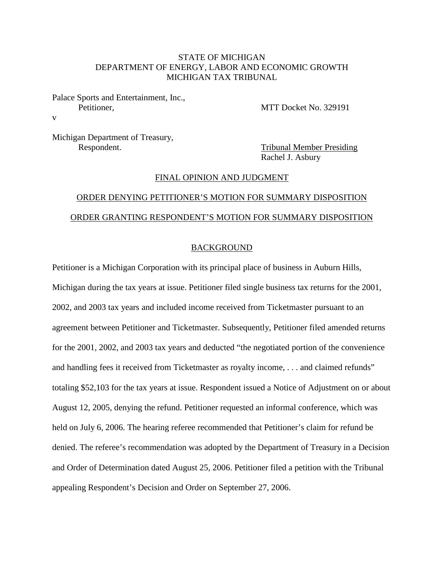# STATE OF MICHIGAN DEPARTMENT OF ENERGY, LABOR AND ECONOMIC GROWTH MICHIGAN TAX TRIBUNAL

## Palace Sports and Entertainment, Inc., Petitioner, MTT Docket No. 329191

Michigan Department of Treasury, Respondent. Tribunal Member Presiding

v

Rachel J. Asbury

#### FINAL OPINION AND JUDGMENT

# ORDER DENYING PETITIONER'S MOTION FOR SUMMARY DISPOSITION ORDER GRANTING RESPONDENT'S MOTION FOR SUMMARY DISPOSITION

### BACKGROUND

Petitioner is a Michigan Corporation with its principal place of business in Auburn Hills, Michigan during the tax years at issue. Petitioner filed single business tax returns for the 2001, 2002, and 2003 tax years and included income received from Ticketmaster pursuant to an agreement between Petitioner and Ticketmaster. Subsequently, Petitioner filed amended returns for the 2001, 2002, and 2003 tax years and deducted "the negotiated portion of the convenience and handling fees it received from Ticketmaster as royalty income, . . . and claimed refunds" totaling \$52,103 for the tax years at issue. Respondent issued a Notice of Adjustment on or about August 12, 2005, denying the refund. Petitioner requested an informal conference, which was held on July 6, 2006. The hearing referee recommended that Petitioner's claim for refund be denied. The referee's recommendation was adopted by the Department of Treasury in a Decision and Order of Determination dated August 25, 2006. Petitioner filed a petition with the Tribunal appealing Respondent's Decision and Order on September 27, 2006.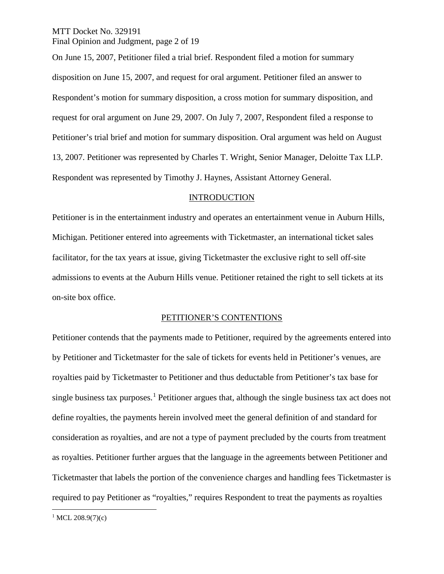MTT Docket No. 329191 Final Opinion and Judgment, page 2 of 19

On June 15, 2007, Petitioner filed a trial brief. Respondent filed a motion for summary disposition on June 15, 2007, and request for oral argument. Petitioner filed an answer to Respondent's motion for summary disposition, a cross motion for summary disposition, and request for oral argument on June 29, 2007. On July 7, 2007, Respondent filed a response to Petitioner's trial brief and motion for summary disposition. Oral argument was held on August 13, 2007. Petitioner was represented by Charles T. Wright, Senior Manager, Deloitte Tax LLP. Respondent was represented by Timothy J. Haynes, Assistant Attorney General.

### INTRODUCTION

Petitioner is in the entertainment industry and operates an entertainment venue in Auburn Hills, Michigan. Petitioner entered into agreements with Ticketmaster, an international ticket sales facilitator, for the tax years at issue, giving Ticketmaster the exclusive right to sell off-site admissions to events at the Auburn Hills venue. Petitioner retained the right to sell tickets at its on-site box office.

#### PETITIONER'S CONTENTIONS

Petitioner contends that the payments made to Petitioner, required by the agreements entered into by Petitioner and Ticketmaster for the sale of tickets for events held in Petitioner's venues, are royalties paid by Ticketmaster to Petitioner and thus deductable from Petitioner's tax base for single business tax purposes. [1](#page-1-0) Petitioner argues that, although the single business tax act does not define royalties, the payments herein involved meet the general definition of and standard for consideration as royalties, and are not a type of payment precluded by the courts from treatment as royalties. Petitioner further argues that the language in the agreements between Petitioner and Ticketmaster that labels the portion of the convenience charges and handling fees Ticketmaster is required to pay Petitioner as "royalties," requires Respondent to treat the payments as royalties

<span id="page-1-0"></span><sup>1</sup> MCL 208.9(7)(c)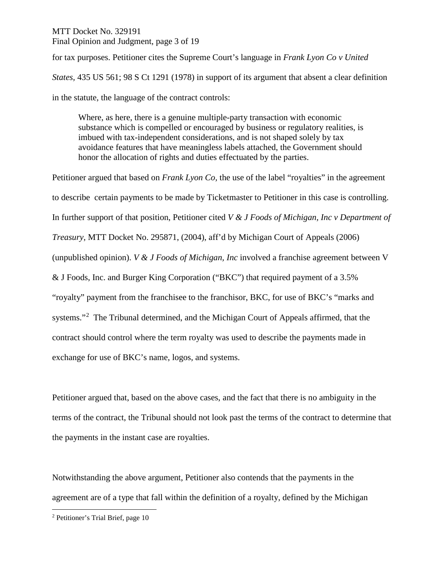# MTT Docket No. 329191 Final Opinion and Judgment, page 3 of 19

for tax purposes. Petitioner cites the Supreme Court's language in *Frank Lyon Co v United States,* 435 US 561; 98 S Ct 1291 (1978) in support of its argument that absent a clear definition in the statute, the language of the contract controls:

Where, as here, there is a genuine multiple-party transaction with economic substance which is compelled or encouraged by business or regulatory realities, is imbued with tax-independent considerations, and is not shaped solely by tax avoidance features that have meaningless labels attached, the Government should honor the allocation of rights and duties effectuated by the parties.

Petitioner argued that based on *Frank Lyon Co,* the use of the label "royalties" in the agreement to describe certain payments to be made by Ticketmaster to Petitioner in this case is controlling. In further support of that position, Petitioner cited *V & J Foods of Michigan, Inc v Department of Treasury*, MTT Docket No. 295871, (2004), aff'd by Michigan Court of Appeals (2006) (unpublished opinion). *V & J Foods of Michigan, Inc* involved a franchise agreement between V & J Foods, Inc. and Burger King Corporation ("BKC") that required payment of a 3.5% "royalty" payment from the franchisee to the franchisor, BKC, for use of BKC's "marks and systems."<sup>[2](#page-2-0)</sup> The Tribunal determined, and the Michigan Court of Appeals affirmed, that the contract should control where the term royalty was used to describe the payments made in exchange for use of BKC's name, logos, and systems.

Petitioner argued that, based on the above cases, and the fact that there is no ambiguity in the terms of the contract, the Tribunal should not look past the terms of the contract to determine that the payments in the instant case are royalties.

Notwithstanding the above argument, Petitioner also contends that the payments in the agreement are of a type that fall within the definition of a royalty, defined by the Michigan

<span id="page-2-0"></span> <sup>2</sup> Petitioner's Trial Brief, page 10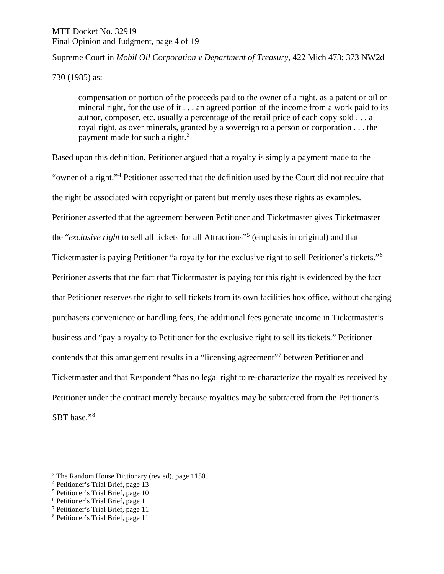# MTT Docket No. 329191 Final Opinion and Judgment, page 4 of 19

# Supreme Court in *Mobil Oil Corporation v Department of Treasury*, 422 Mich 473; 373 NW2d

730 (1985) as:

compensation or portion of the proceeds paid to the owner of a right, as a patent or oil or mineral right, for the use of it . . . an agreed portion of the income from a work paid to its author, composer, etc. usually a percentage of the retail price of each copy sold . . . a royal right, as over minerals, granted by a sovereign to a person or corporation . . . the payment made for such a right.<sup>[3](#page-3-0)</sup>

Based upon this definition, Petitioner argued that a royalty is simply a payment made to the "owner of a right."[4](#page-3-1) Petitioner asserted that the definition used by the Court did not require that the right be associated with copyright or patent but merely uses these rights as examples. Petitioner asserted that the agreement between Petitioner and Ticketmaster gives Ticketmaster the "*exclusive right* to sell all tickets for all Attractions"[5](#page-3-2) (emphasis in original) and that Ticketmaster is paying Petitioner "a royalty for the exclusive right to sell Petitioner's tickets."[6](#page-3-3) Petitioner asserts that the fact that Ticketmaster is paying for this right is evidenced by the fact that Petitioner reserves the right to sell tickets from its own facilities box office, without charging purchasers convenience or handling fees, the additional fees generate income in Ticketmaster's business and "pay a royalty to Petitioner for the exclusive right to sell its tickets." Petitioner contends that this arrangement results in a "licensing agreement"[7](#page-3-4) between Petitioner and Ticketmaster and that Respondent "has no legal right to re-characterize the royalties received by Petitioner under the contract merely because royalties may be subtracted from the Petitioner's SBT base."<sup>[8](#page-3-5)</sup>

<span id="page-3-0"></span><sup>&</sup>lt;sup>3</sup> The Random House Dictionary (rev ed), page 1150.

<span id="page-3-1"></span><sup>4</sup> Petitioner's Trial Brief, page 13

<span id="page-3-2"></span><sup>5</sup> Petitioner's Trial Brief, page 10

<span id="page-3-3"></span><sup>6</sup> Petitioner's Trial Brief, page 11

<span id="page-3-4"></span><sup>7</sup> Petitioner's Trial Brief, page 11

<span id="page-3-5"></span><sup>8</sup> Petitioner's Trial Brief, page 11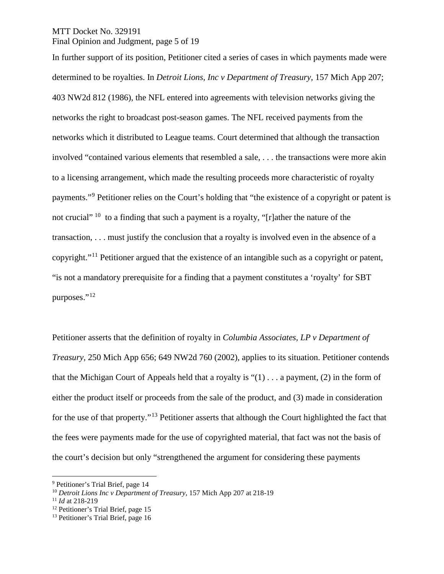## MTT Docket No. 329191 Final Opinion and Judgment, page 5 of 19

In further support of its position, Petitioner cited a series of cases in which payments made were determined to be royalties. In *Detroit Lions, Inc v Department of Treasury,* 157 Mich App 207; 403 NW2d 812 (1986), the NFL entered into agreements with television networks giving the networks the right to broadcast post-season games. The NFL received payments from the networks which it distributed to League teams. Court determined that although the transaction involved "contained various elements that resembled a sale, . . . the transactions were more akin to a licensing arrangement, which made the resulting proceeds more characteristic of royalty payments."[9](#page-4-0) Petitioner relies on the Court's holding that "the existence of a copyright or patent is not crucial" <sup>[10](#page-4-1)</sup> to a finding that such a payment is a royalty, "[r]ather the nature of the transaction, . . . must justify the conclusion that a royalty is involved even in the absence of a copyright."[11](#page-4-2) Petitioner argued that the existence of an intangible such as a copyright or patent, "is not a mandatory prerequisite for a finding that a payment constitutes a 'royalty' for SBT purposes."<sup>[12](#page-4-3)</sup>

Petitioner asserts that the definition of royalty in *Columbia Associates, LP v Department of Treasury,* 250 Mich App 656; 649 NW2d 760 (2002), applies to its situation. Petitioner contends that the Michigan Court of Appeals held that a royalty is " $(1)$ ... a payment,  $(2)$  in the form of either the product itself or proceeds from the sale of the product, and (3) made in consideration for the use of that property."[13](#page-4-4) Petitioner asserts that although the Court highlighted the fact that the fees were payments made for the use of copyrighted material, that fact was not the basis of the court's decision but only "strengthened the argument for considering these payments

<span id="page-4-0"></span> <sup>9</sup> Petitioner's Trial Brief, page 14

<span id="page-4-1"></span><sup>10</sup> *Detroit Lions Inc v Department of Treasury*, 157 Mich App 207 at 218-19

<span id="page-4-2"></span><sup>11</sup> *Id* at 218-219

<span id="page-4-3"></span><sup>&</sup>lt;sup>12</sup> Petitioner's Trial Brief, page 15

<span id="page-4-4"></span><sup>&</sup>lt;sup>13</sup> Petitioner's Trial Brief, page 16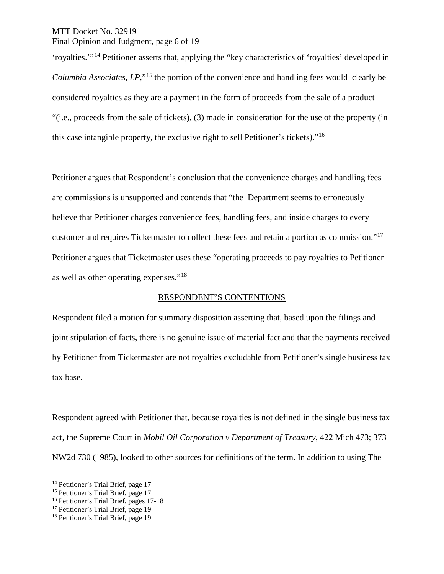MTT Docket No. 329191 Final Opinion and Judgment, page 6 of 19

'royalties.'"[14](#page-5-0) Petitioner asserts that, applying the "key characteristics of 'royalties' developed in *Columbia Associates, LP*,"<sup>[15](#page-5-1)</sup> the portion of the convenience and handling fees would clearly be considered royalties as they are a payment in the form of proceeds from the sale of a product "(i.e., proceeds from the sale of tickets), (3) made in consideration for the use of the property (in this case intangible property, the exclusive right to sell Petitioner's tickets)."[16](#page-5-2)

Petitioner argues that Respondent's conclusion that the convenience charges and handling fees are commissions is unsupported and contends that "the Department seems to erroneously believe that Petitioner charges convenience fees, handling fees, and inside charges to every customer and requires Ticketmaster to collect these fees and retain a portion as commission."[17](#page-5-3) Petitioner argues that Ticketmaster uses these "operating proceeds to pay royalties to Petitioner as well as other operating expenses."[18](#page-5-4)

#### RESPONDENT'S CONTENTIONS

Respondent filed a motion for summary disposition asserting that, based upon the filings and joint stipulation of facts, there is no genuine issue of material fact and that the payments received by Petitioner from Ticketmaster are not royalties excludable from Petitioner's single business tax tax base.

Respondent agreed with Petitioner that, because royalties is not defined in the single business tax act, the Supreme Court in *Mobil Oil Corporation v Department of Treasury*, 422 Mich 473; 373 NW2d 730 (1985), looked to other sources for definitions of the term. In addition to using The

<span id="page-5-0"></span><sup>&</sup>lt;sup>14</sup> Petitioner's Trial Brief, page 17

<span id="page-5-1"></span><sup>&</sup>lt;sup>15</sup> Petitioner's Trial Brief, page 17

<span id="page-5-2"></span><sup>16</sup> Petitioner's Trial Brief, pages 17-18

<span id="page-5-3"></span><sup>&</sup>lt;sup>17</sup> Petitioner's Trial Brief, page 19

<span id="page-5-4"></span><sup>&</sup>lt;sup>18</sup> Petitioner's Trial Brief, page 19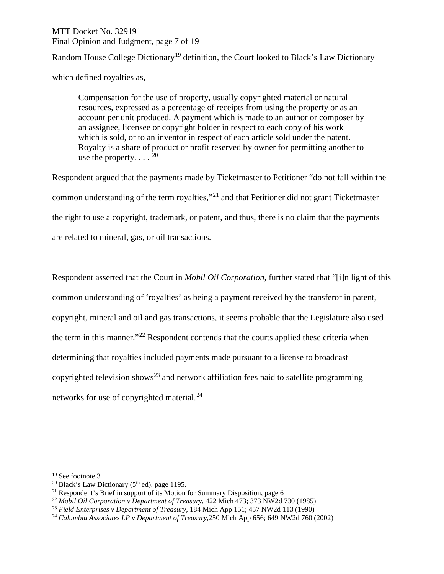# MTT Docket No. 329191 Final Opinion and Judgment, page 7 of 19

Random House College Dictionary<sup>[19](#page-6-0)</sup> definition, the Court looked to Black's Law Dictionary

which defined royalties as,

Compensation for the use of property, usually copyrighted material or natural resources, expressed as a percentage of receipts from using the property or as an account per unit produced. A payment which is made to an author or composer by an assignee, licensee or copyright holder in respect to each copy of his work which is sold, or to an inventor in respect of each article sold under the patent. Royalty is a share of product or profit reserved by owner for permitting another to use the property.  $\ldots$   $^{20}$  $^{20}$  $^{20}$ 

Respondent argued that the payments made by Ticketmaster to Petitioner "do not fall within the common understanding of the term royalties,"[21](#page-6-2) and that Petitioner did not grant Ticketmaster the right to use a copyright, trademark, or patent, and thus, there is no claim that the payments are related to mineral, gas, or oil transactions.

Respondent asserted that the Court in *Mobil Oil Corporation*, further stated that "[i]n light of this common understanding of 'royalties' as being a payment received by the transferor in patent, copyright, mineral and oil and gas transactions, it seems probable that the Legislature also used the term in this manner."[22](#page-6-3) Respondent contends that the courts applied these criteria when determining that royalties included payments made pursuant to a license to broadcast copyrighted television shows<sup>[23](#page-6-4)</sup> and network affiliation fees paid to satellite programming networks for use of copyrighted material.[24](#page-6-5)

<span id="page-6-0"></span><sup>&</sup>lt;sup>19</sup> See footnote 3<br><sup>20</sup> Black's Law Dictionary (5<sup>th</sup> ed), page 1195.

<span id="page-6-2"></span><span id="page-6-1"></span> $21$  Respondent's Brief in support of its Motion for Summary Disposition, page 6

<span id="page-6-3"></span><sup>22</sup> *Mobil Oil Corporation v Department of Treasury*, 422 Mich 473; 373 NW2d 730 (1985)

<span id="page-6-4"></span><sup>23</sup> *Field Enterprises v Department of Treasury*, 184 Mich App 151; 457 NW2d 113 (1990)

<span id="page-6-5"></span><sup>24</sup> *Columbia Associates LP v Department of Treasury,*250 Mich App 656; 649 NW2d 760 (2002)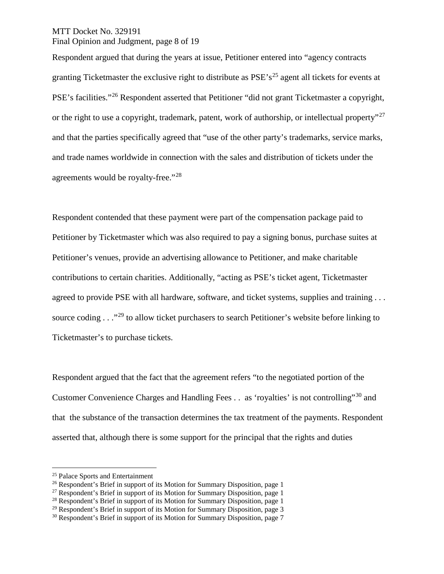## MTT Docket No. 329191 Final Opinion and Judgment, page 8 of 19

Respondent argued that during the years at issue, Petitioner entered into "agency contracts granting Ticketmaster the exclusive right to distribute as  $PSE's^{25}$  $PSE's^{25}$  $PSE's^{25}$  agent all tickets for events at PSE's facilities."<sup>[26](#page-7-1)</sup> Respondent asserted that Petitioner "did not grant Ticketmaster a copyright, or the right to use a copyright, trademark, patent, work of authorship, or intellectual property<sup>"[27](#page-7-2)</sup> and that the parties specifically agreed that "use of the other party's trademarks, service marks, and trade names worldwide in connection with the sales and distribution of tickets under the agreements would be royalty-free."[28](#page-7-3)

Respondent contended that these payment were part of the compensation package paid to Petitioner by Ticketmaster which was also required to pay a signing bonus, purchase suites at Petitioner's venues, provide an advertising allowance to Petitioner, and make charitable contributions to certain charities. Additionally, "acting as PSE's ticket agent, Ticketmaster agreed to provide PSE with all hardware, software, and ticket systems, supplies and training ... source coding . . .<sup>[29](#page-7-4)</sup> to allow ticket purchasers to search Petitioner's website before linking to Ticketmaster's to purchase tickets.

Respondent argued that the fact that the agreement refers "to the negotiated portion of the Customer Convenience Charges and Handling Fees . . as 'royalties' is not controlling"[30](#page-7-5) and that the substance of the transaction determines the tax treatment of the payments. Respondent asserted that, although there is some support for the principal that the rights and duties

<span id="page-7-0"></span> <sup>25</sup> Palace Sports and Entertainment

<span id="page-7-1"></span><sup>&</sup>lt;sup>26</sup> Respondent's Brief in support of its Motion for Summary Disposition, page 1

<span id="page-7-2"></span> $27$  Respondent's Brief in support of its Motion for Summary Disposition, page 1

<span id="page-7-3"></span><sup>&</sup>lt;sup>28</sup> Respondent's Brief in support of its Motion for Summary Disposition, page 1

<span id="page-7-4"></span> $29$  Respondent's Brief in support of its Motion for Summary Disposition, page 3

<span id="page-7-5"></span><sup>&</sup>lt;sup>30</sup> Respondent's Brief in support of its Motion for Summary Disposition, page 7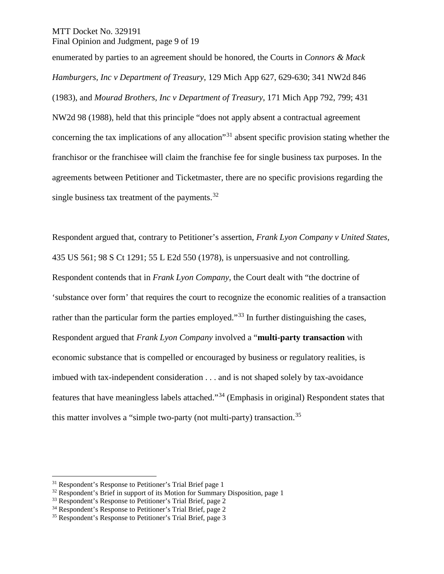MTT Docket No. 329191 Final Opinion and Judgment, page 9 of 19

enumerated by parties to an agreement should be honored, the Courts in *Connors & Mack Hamburgers, Inc v Department of Treasury*, 129 Mich App 627, 629-630; 341 NW2d 846 (1983), and *Mourad Brothers, Inc v Department of Treasury*, 171 Mich App 792, 799; 431 NW2d 98 (1988), held that this principle "does not apply absent a contractual agreement concerning the tax implications of any allocation"[31](#page-8-0) absent specific provision stating whether the franchisor or the franchisee will claim the franchise fee for single business tax purposes. In the agreements between Petitioner and Ticketmaster, there are no specific provisions regarding the single business tax treatment of the payments.  $32$ 

Respondent argued that, contrary to Petitioner's assertion, *Frank Lyon Company v United States,*  435 US 561; 98 S Ct 1291; 55 L E2d 550 (1978), is unpersuasive and not controlling. Respondent contends that in *Frank Lyon Company,* the Court dealt with "the doctrine of 'substance over form' that requires the court to recognize the economic realities of a transaction rather than the particular form the parties employed."<sup>[33](#page-8-2)</sup> In further distinguishing the cases, Respondent argued that *Frank Lyon Company* involved a "**multi-party transaction** with economic substance that is compelled or encouraged by business or regulatory realities, is imbued with tax-independent consideration . . . and is not shaped solely by tax-avoidance features that have meaningless labels attached."[34](#page-8-3) (Emphasis in original) Respondent states that this matter involves a "simple two-party (not multi-party) transaction.<sup>[35](#page-8-4)</sup>

<span id="page-8-0"></span><sup>&</sup>lt;sup>31</sup> Respondent's Response to Petitioner's Trial Brief page 1

<span id="page-8-1"></span><sup>&</sup>lt;sup>32</sup> Respondent's Brief in support of its Motion for Summary Disposition, page 1  $^{33}$  Respondent's Response to Petitioner's Trial Brief, page 2

<span id="page-8-2"></span>

<span id="page-8-3"></span><sup>&</sup>lt;sup>34</sup> Respondent's Response to Petitioner's Trial Brief, page 2

<span id="page-8-4"></span><sup>35</sup> Respondent's Response to Petitioner's Trial Brief, page 3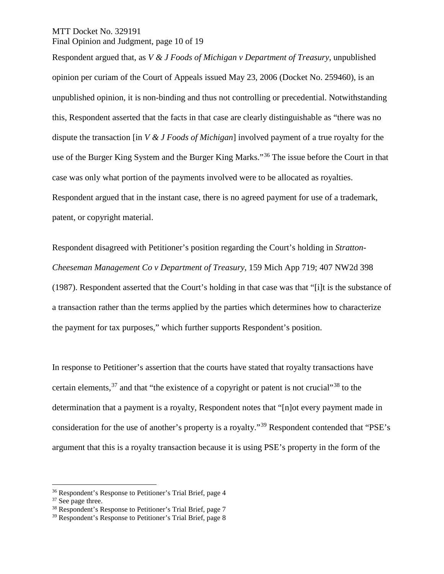## MTT Docket No. 329191 Final Opinion and Judgment, page 10 of 19

Respondent argued that, as *V & J Foods of Michigan v Department of Treasury,* unpublished opinion per curiam of the Court of Appeals issued May 23, 2006 (Docket No. 259460), is an unpublished opinion, it is non-binding and thus not controlling or precedential. Notwithstanding this, Respondent asserted that the facts in that case are clearly distinguishable as "there was no dispute the transaction [in *V & J Foods of Michigan*] involved payment of a true royalty for the use of the Burger King System and the Burger King Marks."[36](#page-9-0) The issue before the Court in that case was only what portion of the payments involved were to be allocated as royalties. Respondent argued that in the instant case, there is no agreed payment for use of a trademark, patent, or copyright material.

Respondent disagreed with Petitioner's position regarding the Court's holding in *Stratton-Cheeseman Management Co v Department of Treasury*, 159 Mich App 719; 407 NW2d 398 (1987). Respondent asserted that the Court's holding in that case was that "[i]t is the substance of a transaction rather than the terms applied by the parties which determines how to characterize the payment for tax purposes," which further supports Respondent's position.

In response to Petitioner's assertion that the courts have stated that royalty transactions have certain elements,  $37$  and that "the existence of a copyright or patent is not crucial"  $38$  to the determination that a payment is a royalty, Respondent notes that "[n]ot every payment made in consideration for the use of another's property is a royalty."[39](#page-9-3) Respondent contended that "PSE's argument that this is a royalty transaction because it is using PSE's property in the form of the

<span id="page-9-0"></span> <sup>36</sup> Respondent's Response to Petitioner's Trial Brief, page 4

<span id="page-9-1"></span><sup>&</sup>lt;sup>37</sup> See page three.

<span id="page-9-2"></span><sup>&</sup>lt;sup>38</sup> Respondent's Response to Petitioner's Trial Brief, page 7

<span id="page-9-3"></span><sup>39</sup> Respondent's Response to Petitioner's Trial Brief, page 8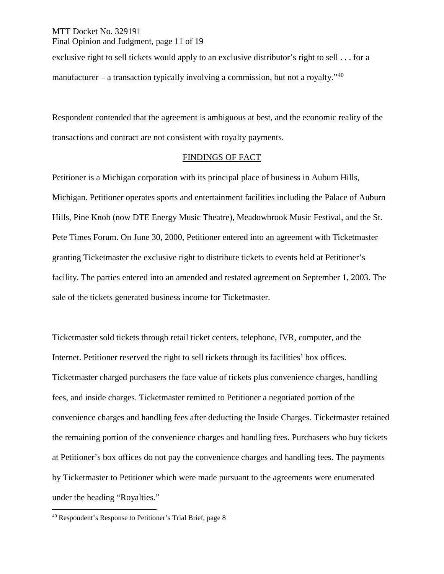## MTT Docket No. 329191 Final Opinion and Judgment, page 11 of 19

exclusive right to sell tickets would apply to an exclusive distributor's right to sell . . . for a manufacturer – a transaction typically involving a commission, but not a royalty.<sup> $40$ </sup>

Respondent contended that the agreement is ambiguous at best, and the economic reality of the transactions and contract are not consistent with royalty payments.

## FINDINGS OF FACT

Petitioner is a Michigan corporation with its principal place of business in Auburn Hills, Michigan. Petitioner operates sports and entertainment facilities including the Palace of Auburn Hills, Pine Knob (now DTE Energy Music Theatre), Meadowbrook Music Festival, and the St. Pete Times Forum. On June 30, 2000, Petitioner entered into an agreement with Ticketmaster granting Ticketmaster the exclusive right to distribute tickets to events held at Petitioner's facility. The parties entered into an amended and restated agreement on September 1, 2003. The sale of the tickets generated business income for Ticketmaster.

Ticketmaster sold tickets through retail ticket centers, telephone, IVR, computer, and the Internet. Petitioner reserved the right to sell tickets through its facilities' box offices. Ticketmaster charged purchasers the face value of tickets plus convenience charges, handling fees, and inside charges. Ticketmaster remitted to Petitioner a negotiated portion of the convenience charges and handling fees after deducting the Inside Charges. Ticketmaster retained the remaining portion of the convenience charges and handling fees. Purchasers who buy tickets at Petitioner's box offices do not pay the convenience charges and handling fees. The payments by Ticketmaster to Petitioner which were made pursuant to the agreements were enumerated under the heading "Royalties."

<span id="page-10-0"></span> <sup>40</sup> Respondent's Response to Petitioner's Trial Brief, page 8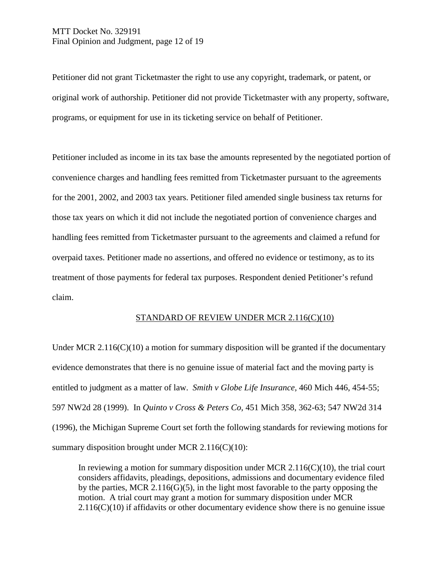Petitioner did not grant Ticketmaster the right to use any copyright, trademark, or patent, or original work of authorship. Petitioner did not provide Ticketmaster with any property, software, programs, or equipment for use in its ticketing service on behalf of Petitioner.

Petitioner included as income in its tax base the amounts represented by the negotiated portion of convenience charges and handling fees remitted from Ticketmaster pursuant to the agreements for the 2001, 2002, and 2003 tax years. Petitioner filed amended single business tax returns for those tax years on which it did not include the negotiated portion of convenience charges and handling fees remitted from Ticketmaster pursuant to the agreements and claimed a refund for overpaid taxes. Petitioner made no assertions, and offered no evidence or testimony, as to its treatment of those payments for federal tax purposes. Respondent denied Petitioner's refund claim.

# STANDARD OF REVIEW UNDER MCR 2.116(C)(10)

Under MCR 2.116(C)(10) a motion for summary disposition will be granted if the documentary evidence demonstrates that there is no genuine issue of material fact and the moving party is entitled to judgment as a matter of law. *Smith v Globe Life Insurance,* 460 Mich 446, 454-55; 597 NW2d 28 (1999). In *Quinto v Cross & Peters Co,* 451 Mich 358, 362-63; 547 NW2d 314 (1996), the Michigan Supreme Court set forth the following standards for reviewing motions for summary disposition brought under MCR  $2.116(C)(10)$ :

In reviewing a motion for summary disposition under MCR  $2.116(C)(10)$ , the trial court considers affidavits, pleadings, depositions, admissions and documentary evidence filed by the parties, MCR 2.116(G)(5), in the light most favorable to the party opposing the motion. A trial court may grant a motion for summary disposition under MCR  $2.116(C)(10)$  if affidavits or other documentary evidence show there is no genuine issue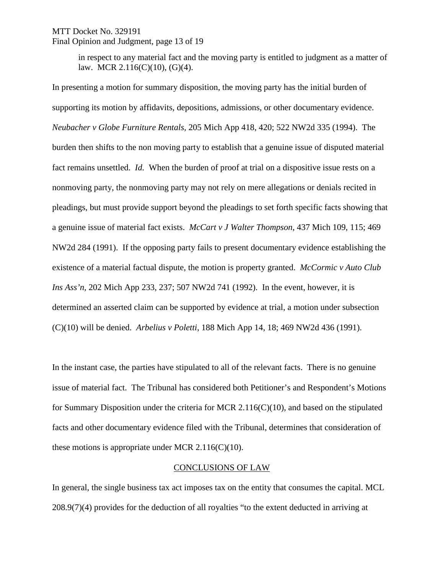### MTT Docket No. 329191 Final Opinion and Judgment, page 13 of 19

in respect to any material fact and the moving party is entitled to judgment as a matter of law. MCR 2.116(C)(10), (G)(4).

In presenting a motion for summary disposition, the moving party has the initial burden of supporting its motion by affidavits, depositions, admissions, or other documentary evidence. *Neubacher v Globe Furniture Rentals,* 205 Mich App 418, 420; 522 NW2d 335 (1994). The burden then shifts to the non moving party to establish that a genuine issue of disputed material fact remains unsettled. *Id.* When the burden of proof at trial on a dispositive issue rests on a nonmoving party, the nonmoving party may not rely on mere allegations or denials recited in pleadings, but must provide support beyond the pleadings to set forth specific facts showing that a genuine issue of material fact exists. *McCart v J Walter Thompson*, 437 Mich 109, 115; 469 NW2d 284 (1991). If the opposing party fails to present documentary evidence establishing the existence of a material factual dispute, the motion is property granted. *McCormic v Auto Club Ins Ass'n,* 202 Mich App 233, 237; 507 NW2d 741 (1992). In the event, however, it is determined an asserted claim can be supported by evidence at trial, a motion under subsection (C)(10) will be denied. *Arbelius v Poletti*, 188 Mich App 14, 18; 469 NW2d 436 (1991).

In the instant case, the parties have stipulated to all of the relevant facts. There is no genuine issue of material fact. The Tribunal has considered both Petitioner's and Respondent's Motions for Summary Disposition under the criteria for MCR 2.116(C)(10), and based on the stipulated facts and other documentary evidence filed with the Tribunal, determines that consideration of these motions is appropriate under MCR  $2.116(C)(10)$ .

#### CONCLUSIONS OF LAW

In general, the single business tax act imposes tax on the entity that consumes the capital. MCL 208.9(7)(4) provides for the deduction of all royalties "to the extent deducted in arriving at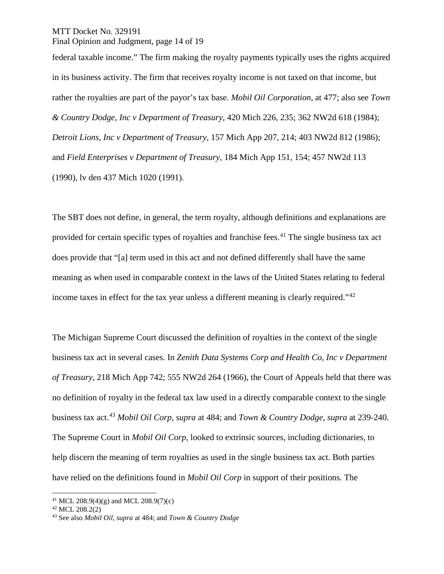MTT Docket No. 329191 Final Opinion and Judgment, page 14 of 19

federal taxable income." The firm making the royalty payments typically uses the rights acquired in its business activity. The firm that receives royalty income is not taxed on that income, but rather the royalties are part of the payor's tax base. *Mobil Oil Corporation*, at 477; also see *Town & Country Dodge, Inc v Department of Treasury*, 420 Mich 226, 235; 362 NW2d 618 (1984); *Detroit Lions, Inc v Department of Treasury*, 157 Mich App 207, 214; 403 NW2d 812 (1986); and *Field Enterprises v Department of Treasury*, 184 Mich App 151, 154; 457 NW2d 113 (1990), lv den 437 Mich 1020 (1991).

The SBT does not define, in general, the term royalty, although definitions and explanations are provided for certain specific types of royalties and franchise fees.<sup>[41](#page-13-0)</sup> The single business tax act does provide that "[a] term used in this act and not defined differently shall have the same meaning as when used in comparable context in the laws of the United States relating to federal income taxes in effect for the tax year unless a different meaning is clearly required."[42](#page-13-1)

The Michigan Supreme Court discussed the definition of royalties in the context of the single business tax act in several cases. In *Zenith Data Systems Corp and Health Co, Inc v Department of Treasury,* 218 Mich App 742; 555 NW2d 264 (1966), the Court of Appeals held that there was no definition of royalty in the federal tax law used in a directly comparable context to the single business tax act.[43](#page-13-2) *Mobil Oil Corp*, *supra* at 484; and *Town & Country Dodge*, *supra* at 239-240. The Supreme Court in *Mobil Oil Corp*, looked to extrinsic sources, including dictionaries, to help discern the meaning of term royalties as used in the single business tax act. Both parties have relied on the definitions found in *Mobil Oil Corp* in support of their positions. The

<span id="page-13-0"></span><sup>&</sup>lt;sup>41</sup> MCL 208.9(4)(g) and MCL 208.9(7)(c)

<span id="page-13-1"></span> $42$  MCL 208.2(2)

<span id="page-13-2"></span><sup>43</sup> See also *Mobil Oil, supra* at 484; and *Town & Country Dodge*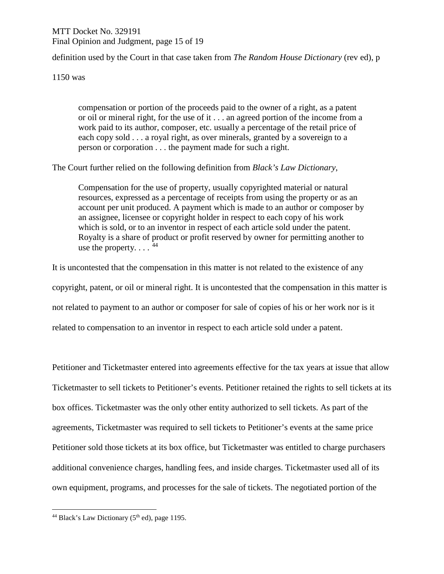# MTT Docket No. 329191 Final Opinion and Judgment, page 15 of 19

definition used by the Court in that case taken from *The Random House Dictionary* (rev ed), p

1150 was

compensation or portion of the proceeds paid to the owner of a right, as a patent or oil or mineral right, for the use of it . . . an agreed portion of the income from a work paid to its author, composer, etc. usually a percentage of the retail price of each copy sold . . . a royal right, as over minerals, granted by a sovereign to a person or corporation . . . the payment made for such a right.

The Court further relied on the following definition from *Black's Law Dictionary*,

Compensation for the use of property, usually copyrighted material or natural resources, expressed as a percentage of receipts from using the property or as an account per unit produced. A payment which is made to an author or composer by an assignee, licensee or copyright holder in respect to each copy of his work which is sold, or to an inventor in respect of each article sold under the patent. Royalty is a share of product or profit reserved by owner for permitting another to use the property.  $\ldots$   $^{44}$  $^{44}$  $^{44}$ 

It is uncontested that the compensation in this matter is not related to the existence of any copyright, patent, or oil or mineral right. It is uncontested that the compensation in this matter is not related to payment to an author or composer for sale of copies of his or her work nor is it related to compensation to an inventor in respect to each article sold under a patent.

Petitioner and Ticketmaster entered into agreements effective for the tax years at issue that allow Ticketmaster to sell tickets to Petitioner's events. Petitioner retained the rights to sell tickets at its box offices. Ticketmaster was the only other entity authorized to sell tickets. As part of the agreements, Ticketmaster was required to sell tickets to Petitioner's events at the same price Petitioner sold those tickets at its box office, but Ticketmaster was entitled to charge purchasers additional convenience charges, handling fees, and inside charges. Ticketmaster used all of its own equipment, programs, and processes for the sale of tickets. The negotiated portion of the

<span id="page-14-0"></span><sup>&</sup>lt;sup>44</sup> Black's Law Dictionary ( $5<sup>th</sup>$  ed), page 1195.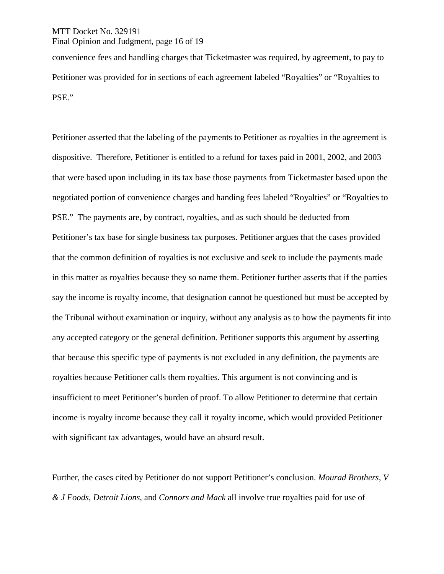## MTT Docket No. 329191 Final Opinion and Judgment, page 16 of 19

convenience fees and handling charges that Ticketmaster was required, by agreement, to pay to Petitioner was provided for in sections of each agreement labeled "Royalties" or "Royalties to PSE."

Petitioner asserted that the labeling of the payments to Petitioner as royalties in the agreement is dispositive. Therefore, Petitioner is entitled to a refund for taxes paid in 2001, 2002, and 2003 that were based upon including in its tax base those payments from Ticketmaster based upon the negotiated portion of convenience charges and handing fees labeled "Royalties" or "Royalties to PSE." The payments are, by contract, royalties, and as such should be deducted from Petitioner's tax base for single business tax purposes. Petitioner argues that the cases provided that the common definition of royalties is not exclusive and seek to include the payments made in this matter as royalties because they so name them. Petitioner further asserts that if the parties say the income is royalty income, that designation cannot be questioned but must be accepted by the Tribunal without examination or inquiry, without any analysis as to how the payments fit into any accepted category or the general definition. Petitioner supports this argument by asserting that because this specific type of payments is not excluded in any definition, the payments are royalties because Petitioner calls them royalties. This argument is not convincing and is insufficient to meet Petitioner's burden of proof. To allow Petitioner to determine that certain income is royalty income because they call it royalty income, which would provided Petitioner with significant tax advantages, would have an absurd result.

Further, the cases cited by Petitioner do not support Petitioner's conclusion. *Mourad Brothers*, *V & J Foods*, *Detroit Lions*, and *Connors and Mack* all involve true royalties paid for use of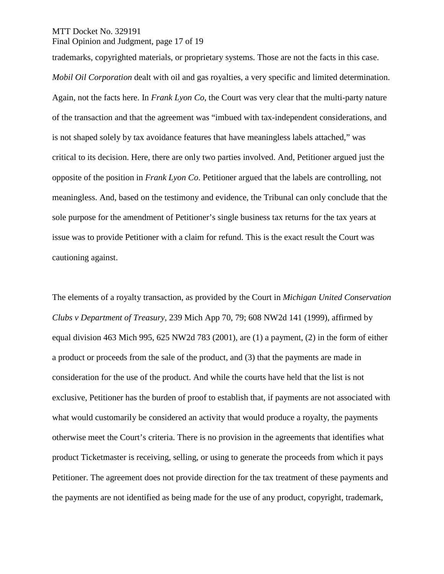MTT Docket No. 329191

Final Opinion and Judgment, page 17 of 19

trademarks, copyrighted materials, or proprietary systems. Those are not the facts in this case.

*Mobil Oil Corporation* dealt with oil and gas royalties, a very specific and limited determination. Again, not the facts here. In *Frank Lyon Co*, the Court was very clear that the multi-party nature of the transaction and that the agreement was "imbued with tax-independent considerations, and is not shaped solely by tax avoidance features that have meaningless labels attached," was critical to its decision. Here, there are only two parties involved. And, Petitioner argued just the opposite of the position in *Frank Lyon Co*. Petitioner argued that the labels are controlling, not meaningless. And, based on the testimony and evidence, the Tribunal can only conclude that the sole purpose for the amendment of Petitioner's single business tax returns for the tax years at issue was to provide Petitioner with a claim for refund. This is the exact result the Court was cautioning against.

The elements of a royalty transaction, as provided by the Court in *Michigan United Conservation Clubs v Department of Treasury*, 239 Mich App 70, 79; 608 NW2d 141 (1999), affirmed by equal division 463 Mich 995, 625 NW2d 783 (2001), are (1) a payment, (2) in the form of either a product or proceeds from the sale of the product, and (3) that the payments are made in consideration for the use of the product. And while the courts have held that the list is not exclusive, Petitioner has the burden of proof to establish that, if payments are not associated with what would customarily be considered an activity that would produce a royalty, the payments otherwise meet the Court's criteria. There is no provision in the agreements that identifies what product Ticketmaster is receiving, selling, or using to generate the proceeds from which it pays Petitioner. The agreement does not provide direction for the tax treatment of these payments and the payments are not identified as being made for the use of any product, copyright, trademark,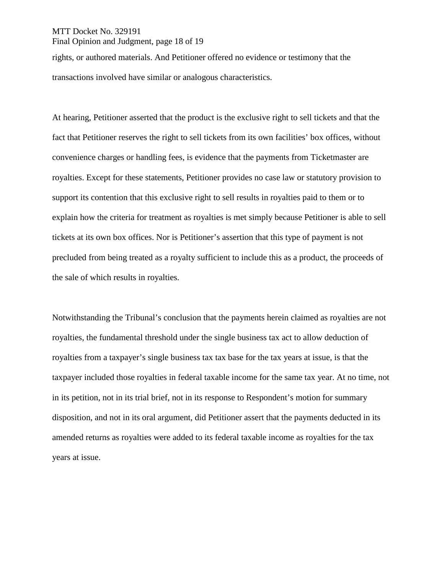### MTT Docket No. 329191 Final Opinion and Judgment, page 18 of 19

rights, or authored materials. And Petitioner offered no evidence or testimony that the transactions involved have similar or analogous characteristics.

At hearing, Petitioner asserted that the product is the exclusive right to sell tickets and that the fact that Petitioner reserves the right to sell tickets from its own facilities' box offices, without convenience charges or handling fees, is evidence that the payments from Ticketmaster are royalties. Except for these statements, Petitioner provides no case law or statutory provision to support its contention that this exclusive right to sell results in royalties paid to them or to explain how the criteria for treatment as royalties is met simply because Petitioner is able to sell tickets at its own box offices. Nor is Petitioner's assertion that this type of payment is not precluded from being treated as a royalty sufficient to include this as a product, the proceeds of the sale of which results in royalties.

Notwithstanding the Tribunal's conclusion that the payments herein claimed as royalties are not royalties, the fundamental threshold under the single business tax act to allow deduction of royalties from a taxpayer's single business tax tax base for the tax years at issue, is that the taxpayer included those royalties in federal taxable income for the same tax year. At no time, not in its petition, not in its trial brief, not in its response to Respondent's motion for summary disposition, and not in its oral argument, did Petitioner assert that the payments deducted in its amended returns as royalties were added to its federal taxable income as royalties for the tax years at issue.